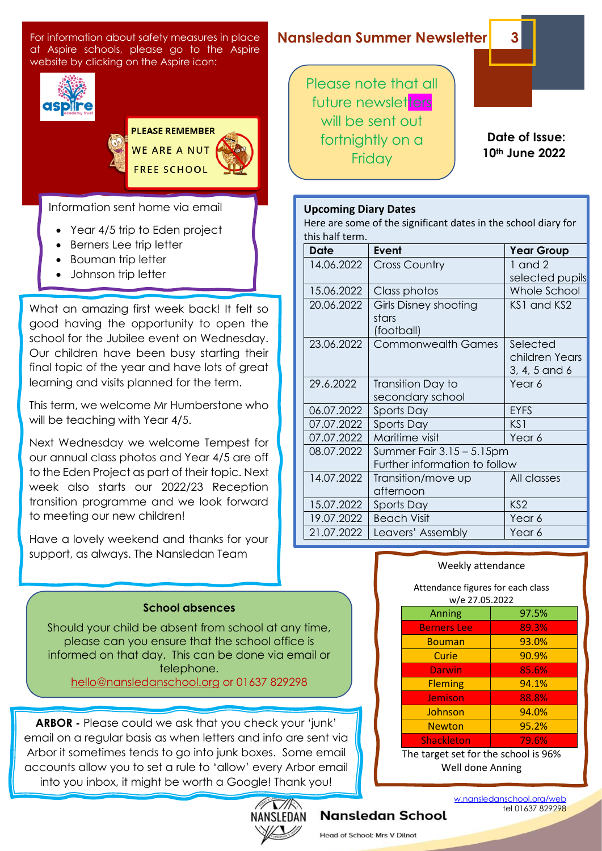For information about safety measures in place at Aspire schools, please go to the Aspire website by clicking on the Aspire icon:



**PLEASE REMEMBER** WE ARE A NUT **FREE SCHOOL** 

Information sent home via email

- Year 4/5 trip to Eden project
- Berners Lee trip letter
- Bouman trip letter
- Johnson trip letter

What an amazing first week back! It felt so good having the opportunity to open the school for the Jubilee event on Wednesday. Our children have been busy starting their final topic of the year and have lots of great learning and visits planned for the term.

This term, we welcome Mr Humberstone who will be teaching with Year 4/5.

Next Wednesday we welcome Tempest for our annual class photos and Year 4/5 are off to the Eden Project as part of their topic. Next week also starts our 2022/23 Reception transition programme and we look forward to meeting our new children!

Have a lovely weekend and thanks for your support, as always. The Nansledan Team

## **Nansledan Summer Newsletter 3**

Please note that all future newsletters will be sent out fortnightly on a **Friday** 

 **Date of Issue: 10th June 2022**

#### **Upcoming Diary Dates**

Here are some of the significant dates in the school diary for this half term.

| <b>Date</b> | Event                         | <b>Year Group</b> |
|-------------|-------------------------------|-------------------|
| 14.06.2022  | <b>Cross Country</b>          | $1$ and $2$       |
|             |                               | selected pupils   |
| 15.06.2022  | Class photos                  | Whole School      |
| 20.06.2022  | Girls Disney shooting         | KS1 and KS2       |
|             | stars                         |                   |
|             | (football)                    |                   |
| 23.06.2022  | <b>Commonwealth Games</b>     | Selected          |
|             |                               | children Years    |
|             |                               | 3, 4, 5 and 6     |
| 29.6.2022   | Transition Day to             | Year 6            |
|             | secondary school              |                   |
| 06.07.2022  | Sports Day                    | <b>EYFS</b>       |
| 07.07.2022  | Sports Day                    | KS1               |
| 07.07.2022  | Maritime visit                | Year 6            |
| 08.07.2022  | Summer Fair $3.15 - 5.15$ pm  |                   |
|             | Further information to follow |                   |
| 14.07.2022  | Transition/move up            | All classes       |
|             | afternoon                     |                   |
| 15.07.2022  | Sports Day                    | KS <sub>2</sub>   |
| 19.07.2022  | <b>Beach Visit</b>            | Year 6            |
| 21.07.2022  | Leavers' Assembly             | Year 6            |

#### Weekly attendance

Attendance figures for each class w/e 27.05.2022

| Anning                               | 97.5% |  |  |
|--------------------------------------|-------|--|--|
| <b>Berners</b> Lee                   | 89.3% |  |  |
| <b>Bouman</b>                        | 93.0% |  |  |
| Curie                                | 90.9% |  |  |
| Darwin                               | 85.6% |  |  |
| <b>Fleming</b>                       | 94.1% |  |  |
| Jemison                              | 88.8% |  |  |
| Johnson                              | 94.0% |  |  |
| <b>Newton</b>                        | 95.2% |  |  |
| <b>Shackleton</b>                    | 79.6% |  |  |
| The target set for the school is 96% |       |  |  |

Set for the school is 96% Well done Anning

#### **School absences**

Should your child be absent from school at any time, please can you ensure that the school office is informed on that day. This can be done via email or telephone. [hello@nansledanschool.org](mailto:hello@nansledanschool.org) or 01637 829298

**ARBOR -** Please could we ask that you check your 'junk' email on a regular basis as when letters and info are sent via Arbor it sometimes tends to go into junk boxes. Some email accounts allow you to set a rule to 'allow' every Arbor email into you inbox, it might be worth a Google! Thank you!



### **Nansledan School**

Head of School: Mrs V Dilnot

w.nansledanschool.org/web tel 01637 829298